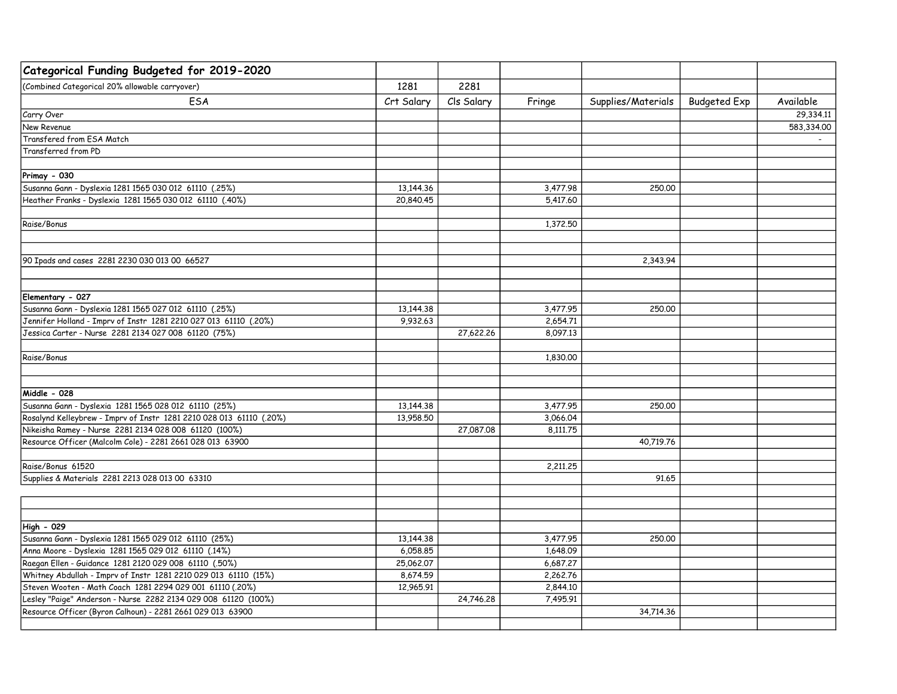| Categorical Funding Budgeted for 2019-2020                                                                                   |                        |            |                      |                    |                     |            |
|------------------------------------------------------------------------------------------------------------------------------|------------------------|------------|----------------------|--------------------|---------------------|------------|
| (Combined Categorical 20% allowable carryover)                                                                               | 1281                   | 2281       |                      |                    |                     |            |
| ESA                                                                                                                          | Crt Salary             | Cls Salary | Fringe               | Supplies/Materials | <b>Budgeted Exp</b> | Available  |
| Carry Over                                                                                                                   |                        |            |                      |                    |                     | 29,334.11  |
| New Revenue                                                                                                                  |                        |            |                      |                    |                     | 583,334.00 |
| Transfered from ESA Match                                                                                                    |                        |            |                      |                    |                     |            |
| Transferred from PD                                                                                                          |                        |            |                      |                    |                     |            |
| Primay - 030                                                                                                                 |                        |            |                      |                    |                     |            |
| Susanna Gann - Dyslexia 1281 1565 030 012 61110 (.25%)                                                                       | 13,144.36              |            | 3,477.98             | 250,00             |                     |            |
| Heather Franks - Dyslexia 1281 1565 030 012 61110 (.40%)                                                                     | 20,840.45              |            | 5,417.60             |                    |                     |            |
| Raise/Bonus                                                                                                                  |                        |            | 1,372.50             |                    |                     |            |
| 90 Ipads and cases 2281 2230 030 013 00 66527                                                                                |                        |            |                      | 2,343.94           |                     |            |
|                                                                                                                              |                        |            |                      |                    |                     |            |
| Elementary - 027                                                                                                             |                        |            |                      |                    |                     |            |
| Susanna Gann - Dyslexia 1281 1565 027 012 61110 (.25%)                                                                       | 13,144.38              |            | 3,477.95             | 250,00             |                     |            |
| Jennifer Holland - Imprv of Instr 1281 2210 027 013 61110 (.20%)                                                             | 9,932.63               |            | 2,654.71             |                    |                     |            |
| Jessica Carter - Nurse 2281 2134 027 008 61120 (75%)                                                                         |                        | 27,622.26  | 8,097.13             |                    |                     |            |
| Raise/Bonus                                                                                                                  |                        |            | 1,830,00             |                    |                     |            |
|                                                                                                                              |                        |            |                      |                    |                     |            |
| Middle - 028                                                                                                                 |                        |            |                      |                    |                     |            |
| Susanna Gann - Dyslexia 1281 1565 028 012 61110 (25%)<br>Rosalynd Kelleybrew - Imprv of Instr 1281 2210 028 013 61110 (.20%) | 13,144.38<br>13,958,50 |            | 3,477.95<br>3,066.04 | 250,00             |                     |            |
| Nikeisha Ramey - Nurse 2281 2134 028 008 61120 (100%)                                                                        |                        | 27,087.08  |                      |                    |                     |            |
| Resource Officer (Malcolm Cole) - 2281 2661 028 013 63900                                                                    |                        |            | 8,111.75             | 40,719.76          |                     |            |
| Raise/Bonus 61520                                                                                                            |                        |            | 2,211.25             |                    |                     |            |
| Supplies & Materials 2281 2213 028 013 00 63310                                                                              |                        |            |                      | 91.65              |                     |            |
|                                                                                                                              |                        |            |                      |                    |                     |            |
| High - 029                                                                                                                   |                        |            |                      |                    |                     |            |
| Susanna Gann - Dyslexia 1281 1565 029 012 61110 (25%)                                                                        | 13,144.38              |            | 3,477.95             | 250,00             |                     |            |
| Anna Moore - Dyslexia 1281 1565 029 012 61110 (.14%)                                                                         | 6,058.85               |            | 1,648.09             |                    |                     |            |
| Raegan Ellen - Guidance 1281 2120 029 008 61110 (.50%)                                                                       | 25,062.07              |            | 6,687.27             |                    |                     |            |
| Whitney Abdullah - Imprv of Instr 1281 2210 029 013 61110 (15%)                                                              | 8,674.59               |            | 2,262.76             |                    |                     |            |
| Steven Wooten - Math Coach 1281 2294 029 001 61110 (.20%)                                                                    | 12,965.91              |            | 2,844.10             |                    |                     |            |
| Lesley "Paige" Anderson - Nurse 2282 2134 029 008 61120 (100%)                                                               |                        | 24,746.28  | 7,495.91             |                    |                     |            |
| Resource Officer (Byron Calhoun) - 2281 2661 029 013 63900                                                                   |                        |            |                      | 34,714.36          |                     |            |
|                                                                                                                              |                        |            |                      |                    |                     |            |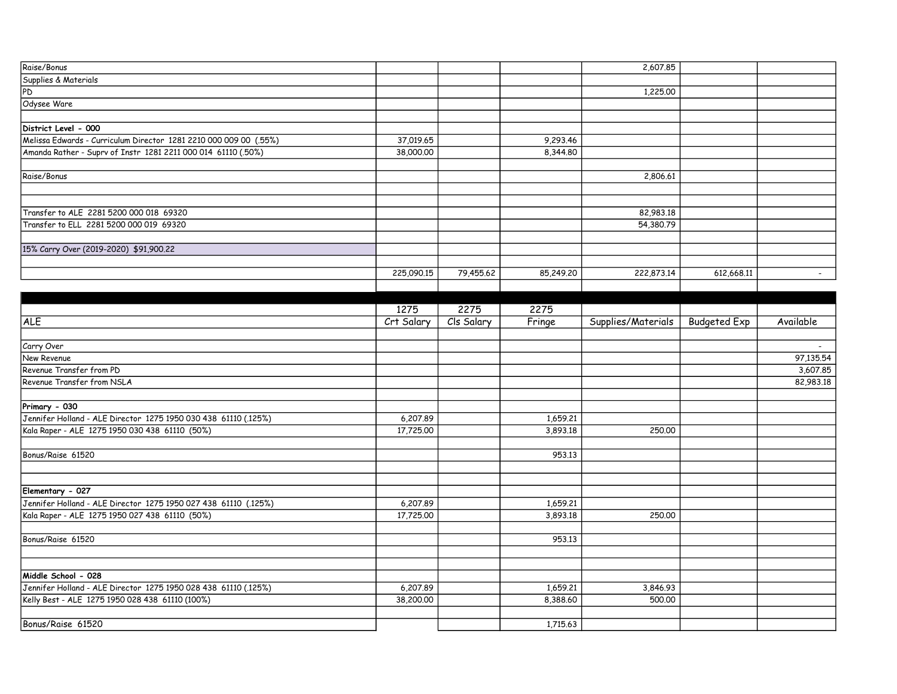| Raise/Bonus                                                                         |                       |            |           | 2,607.85           |                     |           |
|-------------------------------------------------------------------------------------|-----------------------|------------|-----------|--------------------|---------------------|-----------|
| Supplies & Materials                                                                |                       |            |           |                    |                     |           |
| PD                                                                                  |                       |            |           | 1,225.00           |                     |           |
| Odysee Ware                                                                         |                       |            |           |                    |                     |           |
|                                                                                     |                       |            |           |                    |                     |           |
| District Level - 000                                                                |                       |            |           |                    |                     |           |
| Melissa Edwards - Curriculum Director 1281 2210 000 009 00 (.55%)                   | 37,019.65             |            | 9,293.46  |                    |                     |           |
| Amanda Rather - Suprv of Instr 1281 2211 000 014 61110 (.50%)                       | 38,000.00             |            | 8,344.80  |                    |                     |           |
|                                                                                     |                       |            |           |                    |                     |           |
| Raise/Bonus                                                                         |                       |            |           | 2,806.61           |                     |           |
|                                                                                     |                       |            |           |                    |                     |           |
|                                                                                     |                       |            |           |                    |                     |           |
| Transfer to ALE 2281 5200 000 018 69320                                             |                       |            |           | 82,983.18          |                     |           |
| Transfer to ELL 2281 5200 000 019 69320                                             |                       |            |           | 54,380.79          |                     |           |
|                                                                                     |                       |            |           |                    |                     |           |
| 15% Carry Over (2019-2020) \$91,900.22                                              |                       |            |           |                    |                     |           |
|                                                                                     |                       |            |           |                    |                     |           |
|                                                                                     | 225,090.15            | 79,455.62  | 85,249.20 | 222,873.14         | 612,668.11          | $\sim$    |
|                                                                                     |                       |            |           |                    |                     |           |
|                                                                                     |                       |            |           |                    |                     |           |
|                                                                                     | 1275                  | 2275       | 2275      |                    |                     |           |
| <b>ALE</b>                                                                          | Crt Salary            | Cls Salary | Fringe    | Supplies/Materials | <b>Budgeted Exp</b> | Available |
|                                                                                     |                       |            |           |                    |                     |           |
| Carry Over                                                                          |                       |            |           |                    |                     |           |
| New Revenue                                                                         |                       |            |           |                    |                     | 97,135.54 |
| Revenue Transfer from PD                                                            |                       |            |           |                    |                     | 3,607.85  |
| Revenue Transfer from NSLA                                                          |                       |            |           |                    |                     | 82,983.18 |
|                                                                                     |                       |            |           |                    |                     |           |
| Primary - 030                                                                       |                       |            |           |                    |                     |           |
| Jennifer Holland - ALE Director 1275 1950 030 438 61110 (.125%)                     |                       |            | 1,659.21  |                    |                     |           |
| Kala Raper - ALE 1275 1950 030 438 61110 (50%)                                      | 6,207.89<br>17,725.00 |            | 3,893.18  | 250,00             |                     |           |
|                                                                                     |                       |            |           |                    |                     |           |
|                                                                                     |                       |            |           |                    |                     |           |
| Bonus/Raise 61520                                                                   |                       |            | 953.13    |                    |                     |           |
|                                                                                     |                       |            |           |                    |                     |           |
|                                                                                     |                       |            |           |                    |                     |           |
| Elementary - 027<br>Jennifer Holland - ALE Director 1275 1950 027 438 61110 (.125%) |                       |            |           |                    |                     |           |
|                                                                                     | 6,207.89              |            | 1,659.21  |                    |                     |           |
| Kala Raper - ALE 1275 1950 027 438 61110 (50%)                                      | 17,725.00             |            | 3,893.18  | 250.00             |                     |           |
|                                                                                     |                       |            |           |                    |                     |           |
| Bonus/Raise 61520                                                                   |                       |            | 953.13    |                    |                     |           |
|                                                                                     |                       |            |           |                    |                     |           |
|                                                                                     |                       |            |           |                    |                     |           |
| Middle School - 028                                                                 |                       |            |           |                    |                     |           |
| Jennifer Holland - ALE Director 1275 1950 028 438 61110 (.125%)                     | 6,207.89              |            | 1,659.21  | 3,846.93           |                     |           |
| Kelly Best - ALE 1275 1950 028 438 61110 (100%)                                     | 38,200.00             |            | 8,388.60  | 500,00             |                     |           |
|                                                                                     |                       |            |           |                    |                     |           |
| Bonus/Raise 61520                                                                   |                       |            | 1,715.63  |                    |                     |           |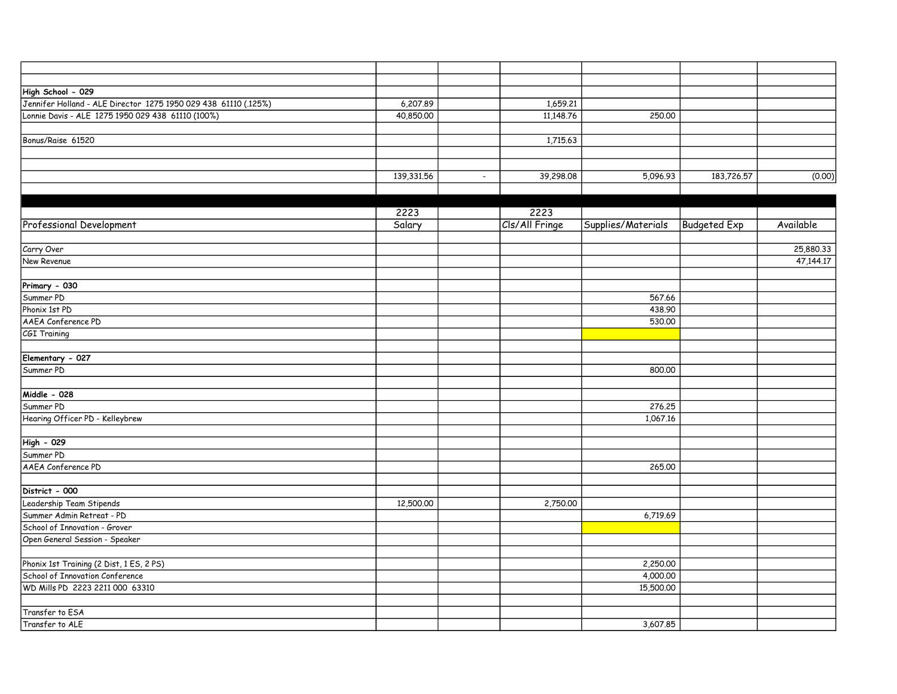| High School - 029                                               |            |                |           |                    |                     |           |
|-----------------------------------------------------------------|------------|----------------|-----------|--------------------|---------------------|-----------|
| Jennifer Holland - ALE Director 1275 1950 029 438 61110 (.125%) | 6,207.89   |                | 1,659.21  |                    |                     |           |
| Lonnie Davis - ALE 1275 1950 029 438 61110 (100%)               | 40,850.00  |                | 11,148.76 | 250.00             |                     |           |
|                                                                 |            |                |           |                    |                     |           |
| Bonus/Raise 61520                                               |            |                | 1,715.63  |                    |                     |           |
|                                                                 |            |                |           |                    |                     |           |
|                                                                 |            |                |           |                    |                     |           |
|                                                                 | 139,331.56 | $\blacksquare$ | 39,298.08 | 5,096.93           | 183,726.57          | (0.00)    |
|                                                                 |            |                |           |                    |                     |           |
|                                                                 |            |                |           |                    |                     |           |
|                                                                 | 2223       | 2223           |           |                    |                     |           |
| <b>Professional Development</b>                                 | Salary     | Cls/All Fringe |           | Supplies/Materials | <b>Budgeted Exp</b> | Available |
|                                                                 |            |                |           |                    |                     |           |
| Carry Over                                                      |            |                |           |                    |                     | 25,880.33 |
| New Revenue                                                     |            |                |           |                    |                     | 47,144.17 |
|                                                                 |            |                |           |                    |                     |           |
| Primary - 030                                                   |            |                |           |                    |                     |           |
| Summer PD                                                       |            |                |           | 567.66             |                     |           |
| Phonix 1st PD                                                   |            |                |           | 438.90             |                     |           |
| AAEA Conference PD                                              |            |                |           | 530.00             |                     |           |
| CGI Training                                                    |            |                |           |                    |                     |           |
|                                                                 |            |                |           |                    |                     |           |
| Elementary - 027                                                |            |                |           |                    |                     |           |
| Summer PD                                                       |            |                |           | 800.00             |                     |           |
|                                                                 |            |                |           |                    |                     |           |
| Middle - 028                                                    |            |                |           |                    |                     |           |
| Summer PD                                                       |            |                |           | 276.25             |                     |           |
| Hearing Officer PD - Kelleybrew                                 |            |                |           | 1,067.16           |                     |           |
|                                                                 |            |                |           |                    |                     |           |
| High - 029                                                      |            |                |           |                    |                     |           |
| Summer PD                                                       |            |                |           |                    |                     |           |
| AAEA Conference PD                                              |            |                |           | 265.00             |                     |           |
|                                                                 |            |                |           |                    |                     |           |
| District - 000                                                  |            |                |           |                    |                     |           |
| Leadership Team Stipends                                        | 12,500.00  |                | 2,750.00  |                    |                     |           |
| Summer Admin Retreat - PD                                       |            |                |           | 6,719.69           |                     |           |
| School of Innovation - Grover                                   |            |                |           |                    |                     |           |
| Open General Session - Speaker                                  |            |                |           |                    |                     |           |
|                                                                 |            |                |           |                    |                     |           |
| Phonix 1st Training (2 Dist, 1 ES, 2 PS)                        |            |                |           | 2,250.00           |                     |           |
| School of Innovation Conference                                 |            |                |           | 4,000.00           |                     |           |
| WD Mills PD 2223 2211 000 63310                                 |            |                |           | 15,500.00          |                     |           |
|                                                                 |            |                |           |                    |                     |           |
| Transfer to ESA                                                 |            |                |           |                    |                     |           |
| Transfer to ALE                                                 |            |                |           | 3,607.85           |                     |           |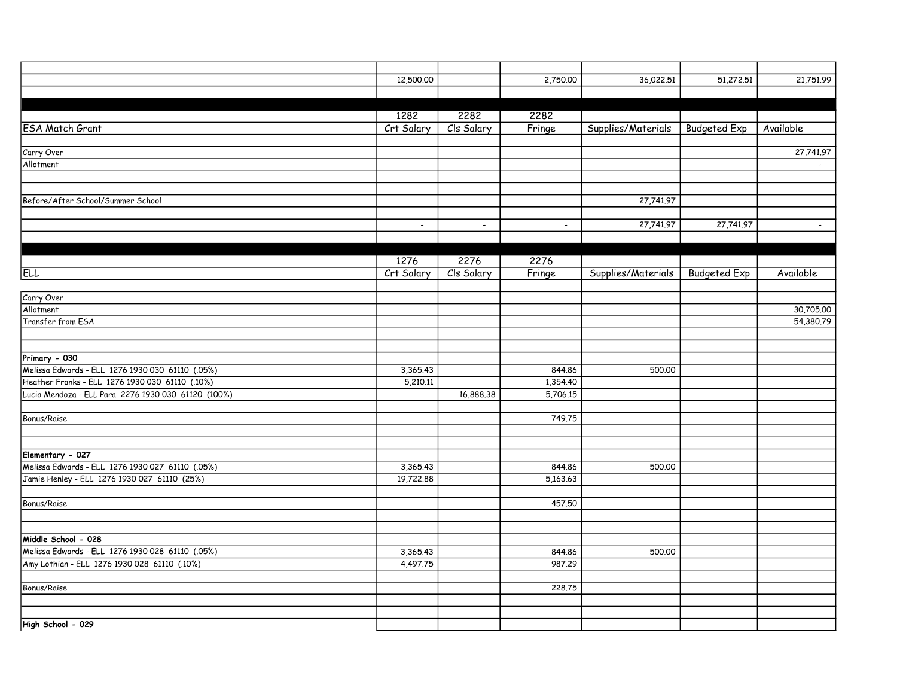|                                                     | 12,500.00  |            | 2,750.00 | 36,022.51          | 51,272.51           | 21,751.99 |
|-----------------------------------------------------|------------|------------|----------|--------------------|---------------------|-----------|
|                                                     |            |            |          |                    |                     |           |
|                                                     |            |            |          |                    |                     |           |
|                                                     | 1282       | 2282       | 2282     |                    |                     |           |
| <b>ESA Match Grant</b>                              | Crt Salary | Cls Salary | Fringe   | Supplies/Materials | <b>Budgeted Exp</b> | Available |
|                                                     |            |            |          |                    |                     |           |
| Carry Over                                          |            |            |          |                    |                     | 27,741.97 |
| Allotment                                           |            |            |          |                    |                     | $\sim$    |
|                                                     |            |            |          |                    |                     |           |
| Before/After School/Summer School                   |            |            |          | 27,741.97          |                     |           |
|                                                     |            |            |          |                    |                     |           |
|                                                     | $\sim$     | $\sim$     | $\sim$   | 27,741.97          | 27,741.97           | $\sim$    |
|                                                     |            |            |          |                    |                     |           |
|                                                     |            |            |          |                    |                     |           |
|                                                     | 1276       | 2276       | 2276     |                    |                     |           |
| <b>ELL</b>                                          | Crt Salary | Cls Salary | Fringe   | Supplies/Materials | <b>Budgeted Exp</b> | Available |
|                                                     |            |            |          |                    |                     |           |
| Carry Over                                          |            |            |          |                    |                     |           |
| Allotment                                           |            |            |          |                    |                     | 30,705.00 |
| Transfer from ESA                                   |            |            |          |                    |                     | 54,380.79 |
|                                                     |            |            |          |                    |                     |           |
|                                                     |            |            |          |                    |                     |           |
| Primary - 030                                       |            |            |          |                    |                     |           |
| Melissa Edwards - ELL 1276 1930 030 61110 (.05%)    | 3,365.43   |            | 844.86   | 500.00             |                     |           |
| Heather Franks - ELL 1276 1930 030 61110 (.10%)     | 5,210.11   |            | 1,354.40 |                    |                     |           |
| Lucia Mendoza - ELL Para 2276 1930 030 61120 (100%) |            | 16,888.38  | 5,706.15 |                    |                     |           |
| Bonus/Raise                                         |            |            | 749.75   |                    |                     |           |
|                                                     |            |            |          |                    |                     |           |
|                                                     |            |            |          |                    |                     |           |
| Elementary - 027                                    |            |            |          |                    |                     |           |
| Melissa Edwards - ELL 1276 1930 027 61110 (.05%)    | 3,365.43   |            | 844.86   | 500.00             |                     |           |
| Jamie Henley - ELL 1276 1930 027 61110 (25%)        | 19,722.88  |            | 5,163,63 |                    |                     |           |
|                                                     |            |            |          |                    |                     |           |
| Bonus/Raise                                         |            |            | 457.50   |                    |                     |           |
|                                                     |            |            |          |                    |                     |           |
|                                                     |            |            |          |                    |                     |           |
| Middle School - 028                                 |            |            |          |                    |                     |           |
| Melissa Edwards - ELL 1276 1930 028 61110 (.05%)    | 3,365.43   |            | 844.86   | 500.00             |                     |           |
| Amy Lothian - ELL 1276 1930 028 61110 (.10%)        | 4,497.75   |            | 987.29   |                    |                     |           |
|                                                     |            |            |          |                    |                     |           |
| Bonus/Raise                                         |            |            | 228.75   |                    |                     |           |
|                                                     |            |            |          |                    |                     |           |
|                                                     |            |            |          |                    |                     |           |
| High School - 029                                   |            |            |          |                    |                     |           |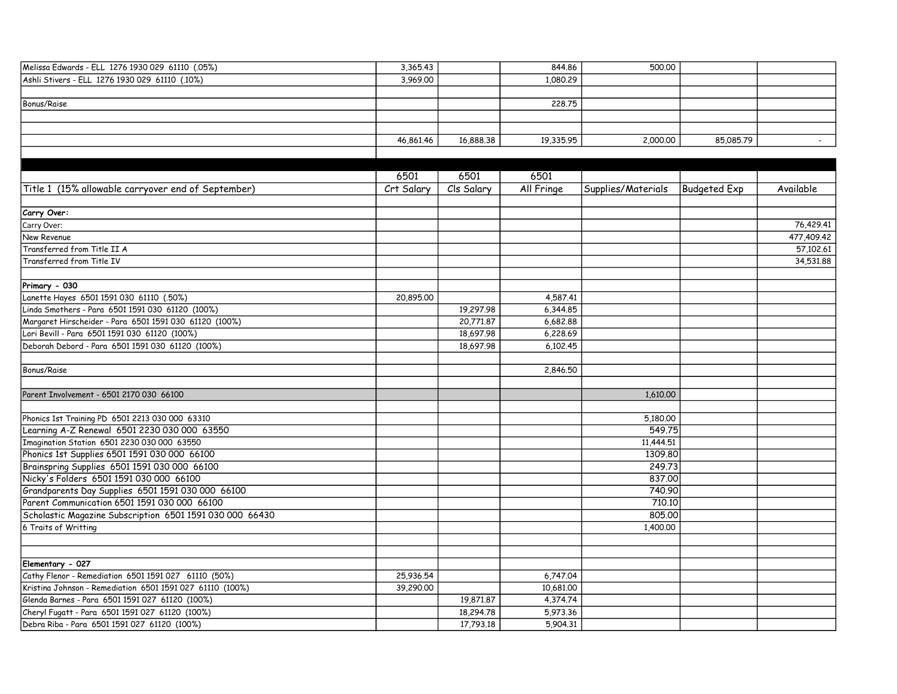| Melissa Edwards - ELL 1276 1930 029 61110 (.05%)   | 3,365.43   |            | 844.86     | 500,00             |                     |            |
|----------------------------------------------------|------------|------------|------------|--------------------|---------------------|------------|
| Ashli Stivers - ELL 1276 1930 029 61110 (.10%)     | 3,969.00   |            | 1,080.29   |                    |                     |            |
|                                                    |            |            |            |                    |                     |            |
| Bonus/Raise                                        |            |            | 228,75     |                    |                     |            |
|                                                    |            |            |            |                    |                     |            |
|                                                    |            |            |            |                    |                     |            |
|                                                    | 46,861.46  | 16,888.38  | 19,335.95  | 2,000.00           | 85,085.79           |            |
|                                                    |            |            |            |                    |                     |            |
|                                                    |            |            |            |                    |                     |            |
|                                                    | 6501       | 6501       | 6501       |                    |                     |            |
| Title 1 (15% allowable carryover end of September) | Crt Salary | Cls Salary | All Fringe | Supplies/Materials | <b>Budgeted Exp</b> | Available  |
|                                                    |            |            |            |                    |                     |            |
| Carry Over:                                        |            |            |            |                    |                     |            |
| Carry Over:                                        |            |            |            |                    |                     | 76,429.41  |
| New Revenue                                        |            |            |            |                    |                     | 477,409.42 |
| Transferred from Title II A                        |            |            |            |                    |                     | 57,102.61  |

| Transferred from Title II A                               |           |           |           |           | 57,102.61 |
|-----------------------------------------------------------|-----------|-----------|-----------|-----------|-----------|
| Transferred from Title IV                                 |           |           |           |           | 34,531,88 |
|                                                           |           |           |           |           |           |
| Primary - 030                                             |           |           |           |           |           |
| Lanette Hayes 6501 1591 030 61110 (.50%)                  | 20,895.00 |           | 4,587,41  |           |           |
| Linda Smothers - Para 6501 1591 030 61120 (100%)          |           | 19,297.98 | 6,344.85  |           |           |
| Margaret Hirscheider - Para 6501 1591 030 61120 (100%)    |           | 20.771.87 | 6,682.88  |           |           |
| Lori Bevill - Para 6501 1591 030 61120 (100%)             |           | 18,697.98 | 6,228.69  |           |           |
| Deborah Debord - Para 6501 1591 030 61120 (100%)          |           | 18,697.98 | 6,102,45  |           |           |
| Bonus/Raise                                               |           |           | 2,846.50  |           |           |
|                                                           |           |           |           |           |           |
| Parent Involvement - 6501 2170 030 66100                  |           |           |           | 1.610.00  |           |
| Phonics 1st Training PD 6501 2213 030 000 63310           |           |           |           | 5,180,00  |           |
| Learning A-Z Renewal 6501 2230 030 000 63550              |           |           |           | 549.75    |           |
| Imagination Station 6501 2230 030 000 63550               |           |           |           | 11,444.51 |           |
| Phonics 1st Supplies 6501 1591 030 000 66100              |           |           |           | 1309.80   |           |
| Brainspring Supplies 6501 1591 030 000 66100              |           |           |           | 249.73    |           |
| Nicky's Folders 6501 1591 030 000 66100                   |           |           |           | 837.00    |           |
| Grandparents Day Supplies 6501 1591 030 000 66100         |           |           |           | 740.90    |           |
| Parent Communication 6501 1591 030 000 66100              |           |           |           | 710.10    |           |
| Scholastic Magazine Subscription 6501 1591 030 000 66430  |           |           |           | 805,00    |           |
| 6 Traits of Writting                                      |           |           |           | 1,400.00  |           |
|                                                           |           |           |           |           |           |
| Elementary - 027                                          |           |           |           |           |           |
| Cathy Flenor - Remediation 6501 1591 027 61110 (50%)      | 25,936.54 |           | 6,747.04  |           |           |
| Kristina Johnson - Remediation 6501 1591 027 61110 (100%) | 39,290.00 |           | 10,681.00 |           |           |
| Glenda Barnes - Para 6501 1591 027 61120 (100%)           |           | 19,871,87 | 4,374.74  |           |           |
| Cheryl Fugatt - Para 6501 1591 027 61120 (100%)           |           | 18,294.78 | 5,973,36  |           |           |
| Debra Riba - Para 6501 1591 027 61120 (100%)              |           | 17,793.18 | 5,904.31  |           |           |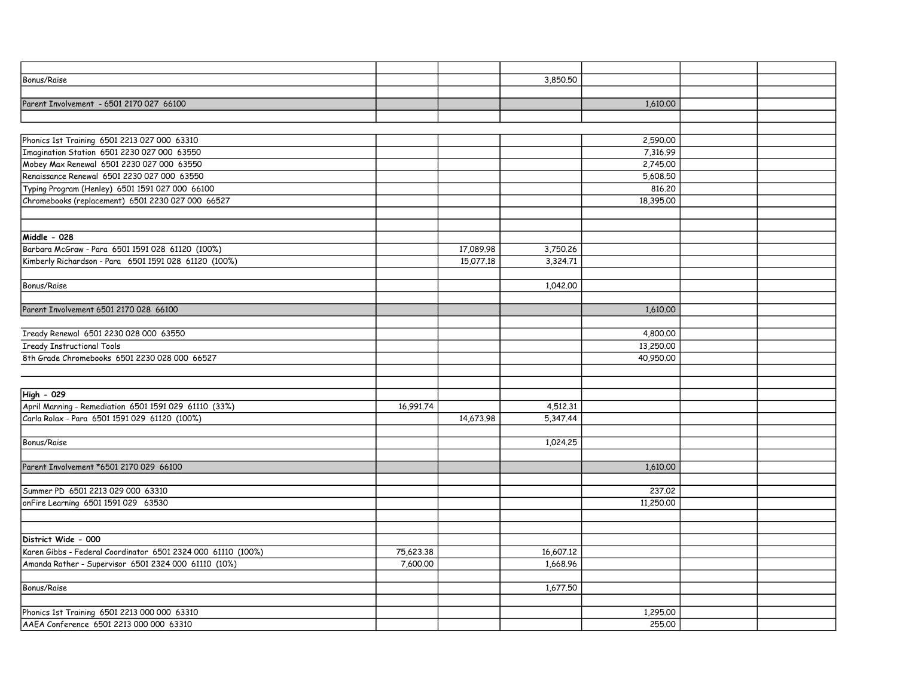| Bonus/Raise                                                  |           |           | 3,850.50  |           |  |
|--------------------------------------------------------------|-----------|-----------|-----------|-----------|--|
|                                                              |           |           |           |           |  |
| Parent Involvement - 6501 2170 027 66100                     |           |           |           | 1,610.00  |  |
|                                                              |           |           |           |           |  |
|                                                              |           |           |           |           |  |
| Phonics 1st Training 6501 2213 027 000 63310                 |           |           |           | 2,590.00  |  |
| Imagination Station 6501 2230 027 000 63550                  |           |           |           | 7,316.99  |  |
| Mobey Max Renewal 6501 2230 027 000 63550                    |           |           |           | 2,745.00  |  |
| Renaissance Renewal 6501 2230 027 000 63550                  |           |           |           | 5,608.50  |  |
| Typing Program (Henley) 6501 1591 027 000 66100              |           |           |           | 816.20    |  |
| Chromebooks (replacement) 6501 2230 027 000 66527            |           |           |           | 18,395.00 |  |
|                                                              |           |           |           |           |  |
|                                                              |           |           |           |           |  |
| Middle - 028                                                 |           |           |           |           |  |
| Barbara McGraw - Para 6501 1591 028 61120 (100%)             |           | 17,089.98 | 3,750.26  |           |  |
| Kimberly Richardson - Para 6501 1591 028 61120 (100%)        |           | 15,077.18 | 3,324.71  |           |  |
|                                                              |           |           |           |           |  |
| Bonus/Raise                                                  |           |           | 1,042.00  |           |  |
|                                                              |           |           |           |           |  |
| Parent Involvement 6501 2170 028 66100                       |           |           |           | 1,610,00  |  |
|                                                              |           |           |           |           |  |
| Iready Renewal 6501 2230 028 000 63550                       |           |           |           | 4,800,00  |  |
| <b>Iready Instructional Tools</b>                            |           |           |           | 13,250.00 |  |
| 8th Grade Chromebooks 6501 2230 028 000 66527                |           |           |           | 40,950.00 |  |
|                                                              |           |           |           |           |  |
|                                                              |           |           |           |           |  |
| High - 029                                                   |           |           |           |           |  |
| April Manning - Remediation 6501 1591 029 61110 (33%)        | 16,991.74 |           | 4,512.31  |           |  |
| Carla Rolax - Para 6501 1591 029 61120 (100%)                |           | 14,673.98 | 5,347.44  |           |  |
|                                                              |           |           |           |           |  |
| Bonus/Raise                                                  |           |           | 1,024.25  |           |  |
|                                                              |           |           |           |           |  |
| Parent Involvement *6501 2170 029 66100                      |           |           |           | 1,610.00  |  |
|                                                              |           |           |           |           |  |
| Summer PD 6501 2213 029 000 63310                            |           |           |           | 237,02    |  |
| onFire Learning 6501 1591 029 63530                          |           |           |           | 11,250.00 |  |
|                                                              |           |           |           |           |  |
|                                                              |           |           |           |           |  |
| District Wide - 000                                          |           |           |           |           |  |
| Karen Gibbs - Federal Coordinator 6501 2324 000 61110 (100%) | 75,623.38 |           | 16,607.12 |           |  |
| Amanda Rather - Supervisor 6501 2324 000 61110 (10%)         | 7,600.00  |           | 1,668.96  |           |  |
|                                                              |           |           |           |           |  |
| Bonus/Raise                                                  |           |           | 1,677.50  |           |  |
|                                                              |           |           |           |           |  |
| Phonics 1st Training 6501 2213 000 000 63310                 |           |           |           | 1,295.00  |  |
| AAEA Conference 6501 2213 000 000 63310                      |           |           |           | 255,00    |  |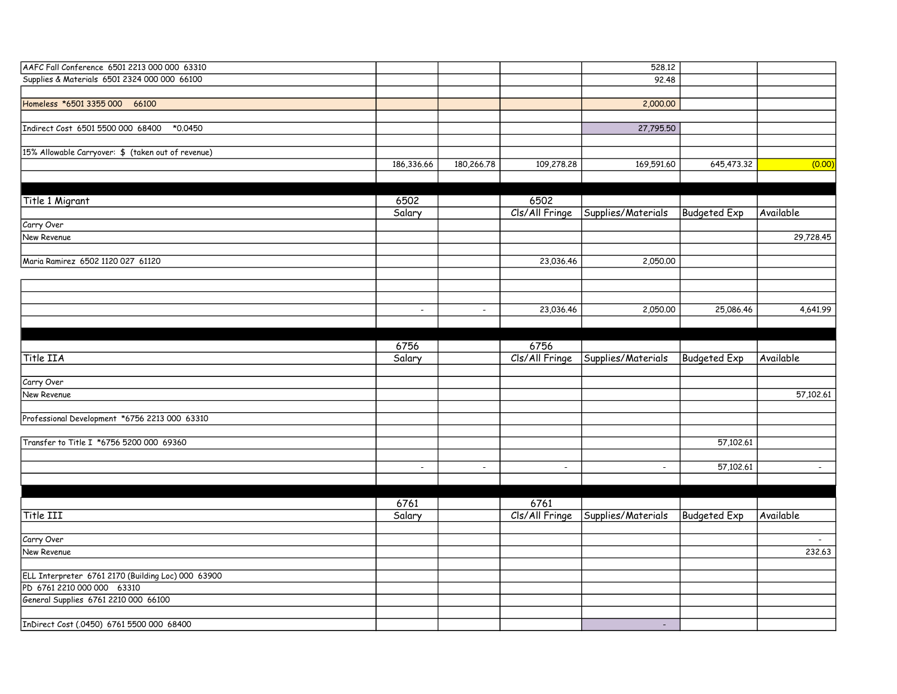| AAFC Fall Conference 6501 2213 000 000 63310       |                |                          |                | 528.12             |                     |           |
|----------------------------------------------------|----------------|--------------------------|----------------|--------------------|---------------------|-----------|
| Supplies & Materials 6501 2324 000 000 66100       |                |                          |                | 92.48              |                     |           |
|                                                    |                |                          |                |                    |                     |           |
| Homeless *6501 3355 000 66100                      |                |                          |                | 2,000.00           |                     |           |
|                                                    |                |                          |                |                    |                     |           |
| Indirect Cost 6501 5500 000 68400<br>*0.0450       |                |                          |                | 27,795.50          |                     |           |
|                                                    |                |                          |                |                    |                     |           |
| 15% Allowable Carryover: \$ (taken out of revenue) |                |                          |                |                    |                     |           |
|                                                    | 186,336.66     | 180,266.78               | 109,278.28     | 169,591.60         | 645,473.32          | (0.00)    |
|                                                    |                |                          |                |                    |                     |           |
|                                                    |                |                          |                |                    |                     |           |
| Title 1 Migrant                                    | 6502           |                          | 6502           |                    |                     |           |
|                                                    | Salary         |                          | Cls/All Fringe | Supplies/Materials | <b>Budgeted Exp</b> | Available |
| Carry Over                                         |                |                          |                |                    |                     |           |
| New Revenue                                        |                |                          |                |                    |                     | 29,728.45 |
|                                                    |                |                          |                |                    |                     |           |
| Maria Ramirez 6502 1120 027 61120                  |                |                          | 23,036.46      | 2,050.00           |                     |           |
|                                                    |                |                          |                |                    |                     |           |
|                                                    |                |                          |                |                    |                     |           |
|                                                    |                |                          |                |                    |                     |           |
|                                                    | $\blacksquare$ | $\blacksquare$           | 23,036.46      | 2,050.00           | 25,086.46           | 4,641.99  |
|                                                    |                |                          |                |                    |                     |           |
|                                                    |                |                          |                |                    |                     |           |
|                                                    | 6756           |                          | 6756           |                    |                     |           |
| Title IIA                                          | Salary         |                          | Cls/All Fringe | Supplies/Materials | <b>Budgeted Exp</b> | Available |
|                                                    |                |                          |                |                    |                     |           |
| Carry Over                                         |                |                          |                |                    |                     |           |
| New Revenue                                        |                |                          |                |                    |                     | 57,102.61 |
|                                                    |                |                          |                |                    |                     |           |
| Professional Development *6756 2213 000 63310      |                |                          |                |                    |                     |           |
|                                                    |                |                          |                |                    |                     |           |
| Transfer to Title I *6756 5200 000 69360           |                |                          |                |                    | 57,102.61           |           |
|                                                    |                |                          |                |                    |                     |           |
|                                                    |                | $\overline{\phantom{a}}$ | $\sim$         | $\blacksquare$     | 57,102.61           |           |
|                                                    | $\blacksquare$ |                          |                |                    |                     | $\sim$    |
|                                                    |                |                          |                |                    |                     |           |
|                                                    | 6761           |                          | 6761           |                    |                     |           |
| Title III                                          | Salary         |                          | Cls/All Fringe | Supplies/Materials | <b>Budgeted Exp</b> | Available |
|                                                    |                |                          |                |                    |                     |           |
|                                                    |                |                          |                |                    |                     |           |
| Carry Over                                         |                |                          |                |                    |                     | $\sim$    |
| New Revenue                                        |                |                          |                |                    |                     | 232.63    |
|                                                    |                |                          |                |                    |                     |           |
| ELL Interpreter 6761 2170 (Building Loc) 000 63900 |                |                          |                |                    |                     |           |
| PD 6761 2210 000 000 63310                         |                |                          |                |                    |                     |           |
| General Supplies 6761 2210 000 66100               |                |                          |                |                    |                     |           |
|                                                    |                |                          |                |                    |                     |           |
| InDirect Cost (.0450) 6761 5500 000 68400          |                |                          |                | $\sim$             |                     |           |